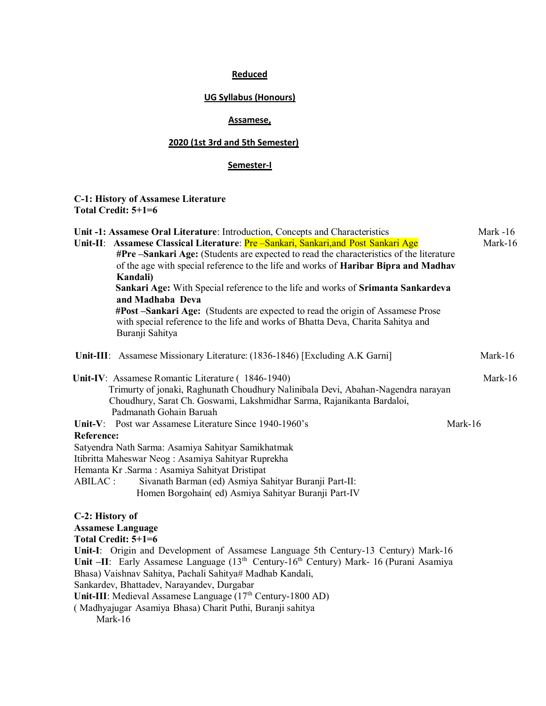## **Reduced**

### **UG Syllabus (Honours)**

### **Assamese,**

# **2020 (1st 3rd and 5th Semester)**

### **Semester-I**

### **C-1: History of Assamese Literature Total Credit: 5+1=6**

| Unit -1: Assamese Oral Literature: Introduction, Concepts and Characteristics<br>Unit-II: Assamese Classical Literature: Pre - Sankari, Sankari, and Post Sankari Age<br>#Pre -Sankari Age: (Students are expected to read the characteristics of the literature<br>of the age with special reference to the life and works of <b>Haribar Bipra and Madhav</b><br>Kandali)<br>Sankari Age: With Special reference to the life and works of Srimanta Sankardeva<br>and Madhaba Deva<br>#Post -Sankari Age: (Students are expected to read the origin of Assamese Prose<br>with special reference to the life and works of Bhatta Deva, Charita Sahitya and<br>Buranji Sahitya | Mark $-16$<br>Mark-16 |
|------------------------------------------------------------------------------------------------------------------------------------------------------------------------------------------------------------------------------------------------------------------------------------------------------------------------------------------------------------------------------------------------------------------------------------------------------------------------------------------------------------------------------------------------------------------------------------------------------------------------------------------------------------------------------|-----------------------|
| Unit-III: Assamese Missionary Literature: (1836-1846) [Excluding A.K Garni]                                                                                                                                                                                                                                                                                                                                                                                                                                                                                                                                                                                                  | Mark-16               |
| Unit-IV: Assamese Romantic Literature (1846-1940)<br>Trimurty of jonaki, Raghunath Choudhury Nalinibala Devi, Abahan-Nagendra narayan<br>Choudhury, Sarat Ch. Goswami, Lakshmidhar Sarma, Rajanikanta Bardaloi,<br>Padmanath Gohain Baruah                                                                                                                                                                                                                                                                                                                                                                                                                                   | Mark-16               |
| Unit-V: Post war Assamese Literature Since 1940-1960's<br><b>Reference:</b><br>Satyendra Nath Sarma: Asamiya Sahityar Samikhatmak<br>Itibritta Maheswar Neog: Asamiya Sahityar Ruprekha<br>Hemanta Kr .Sarma: Asamiya Sahityat Dristipat<br>ABILAC:<br>Sivanath Barman (ed) Asmiya Sahityar Buranji Part-II:<br>Homen Borgohain(ed) Asmiya Sahityar Buranji Part-IV                                                                                                                                                                                                                                                                                                          | Mark-16               |
| C-2: History of<br><b>Assamese Language</b><br>Total Credit: 5+1=6<br>Unit-I: Origin and Development of Assamese Language 5th Century-13 Century) Mark-16<br>Unit -II: Early Assamese Language (13 <sup>th</sup> Century-16 <sup>th</sup> Century) Mark- 16 (Purani Asamiya<br>Bhasa) Vaishnav Sahitya, Pachali Sahitya# Madhab Kandali,<br>Sankardev, Bhattadev, Narayandev, Durgabar<br>Unit-III: Medieval Assamese Language (17 <sup>th</sup> Century-1800 AD)<br>(Madhyajugar Asamiya Bhasa) Charit Puthi, Buranji sahitya<br>Mark-16                                                                                                                                    |                       |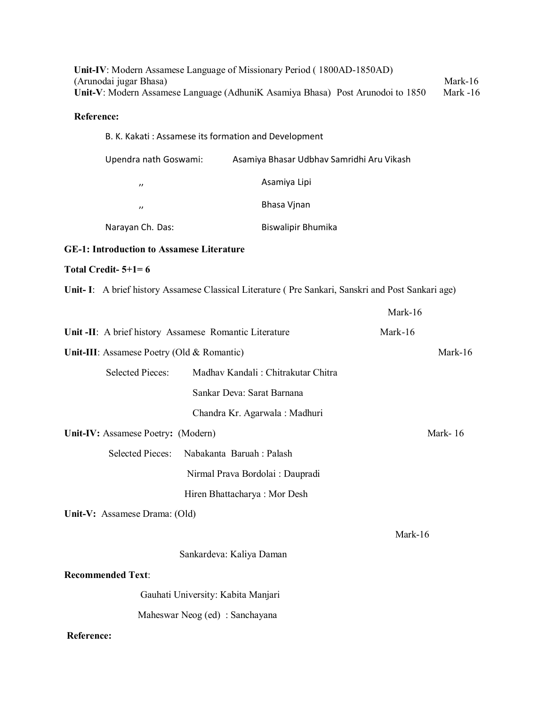|            | (Arunodai jugar Bhasa)                                 | Unit-IV: Modern Assamese Language of Missionary Period (1800AD-1850AD) | Unit-V: Modern Assamese Language (AdhuniK Asamiya Bhasa) Post Arunodoi to 1850                     | Mark-16<br>Mark -16 |
|------------|--------------------------------------------------------|------------------------------------------------------------------------|----------------------------------------------------------------------------------------------------|---------------------|
| Reference: |                                                        |                                                                        |                                                                                                    |                     |
|            |                                                        | B. K. Kakati: Assamese its formation and Development                   |                                                                                                    |                     |
|            | Upendra nath Goswami:                                  | Asamiya Bhasar Udbhav Samridhi Aru Vikash                              |                                                                                                    |                     |
|            | $^{\prime\prime}$                                      | Asamiya Lipi                                                           |                                                                                                    |                     |
|            | $^{\prime\prime}$                                      | Bhasa Vjnan                                                            |                                                                                                    |                     |
|            | Narayan Ch. Das:                                       | Biswalipir Bhumika                                                     |                                                                                                    |                     |
|            | <b>GE-1: Introduction to Assamese Literature</b>       |                                                                        |                                                                                                    |                     |
|            | Total Credit- $5+1=6$                                  |                                                                        |                                                                                                    |                     |
|            |                                                        |                                                                        | Unit- I: A brief history Assamese Classical Literature (Pre Sankari, Sanskri and Post Sankari age) |                     |
|            |                                                        |                                                                        | Mark-16                                                                                            |                     |
|            | Unit -II: A brief history Assamese Romantic Literature |                                                                        | Mark-16                                                                                            |                     |
|            | Unit-III: Assamese Poetry (Old & Romantic)             |                                                                        |                                                                                                    | Mark-16             |
|            | <b>Selected Pieces:</b>                                | Madhav Kandali: Chitrakutar Chitra                                     |                                                                                                    |                     |
|            |                                                        | Sankar Deva: Sarat Barnana                                             |                                                                                                    |                     |
|            |                                                        | Chandra Kr. Agarwala: Madhuri                                          |                                                                                                    |                     |
|            | Unit-IV: Assamese Poetry: (Modern)                     |                                                                        |                                                                                                    | Mark-16             |
|            | Selected Pieces: Nabakanta Baruah : Palash             |                                                                        |                                                                                                    |                     |
|            |                                                        | Nirmal Prava Bordolai : Daupradi                                       |                                                                                                    |                     |
|            |                                                        | Hiren Bhattacharya: Mor Desh                                           |                                                                                                    |                     |
|            | Unit-V: Assamese Drama: (Old)                          |                                                                        |                                                                                                    |                     |
|            |                                                        |                                                                        | Mark-16                                                                                            |                     |
|            |                                                        | Sankardeva: Kaliya Daman                                               |                                                                                                    |                     |
|            | <b>Recommended Text:</b>                               |                                                                        |                                                                                                    |                     |
|            |                                                        | Gauhati University: Kabita Manjari                                     |                                                                                                    |                     |
|            |                                                        | Maheswar Neog (ed) : Sanchayana                                        |                                                                                                    |                     |
| Reference: |                                                        |                                                                        |                                                                                                    |                     |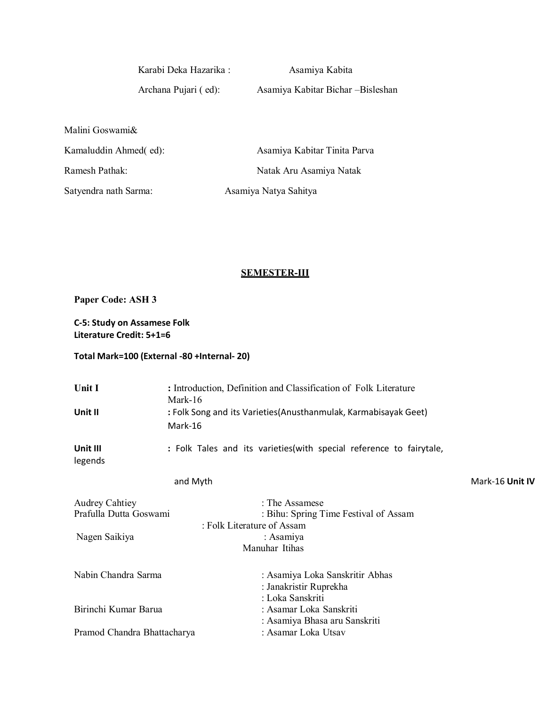Karabi Deka Hazarika : Asamiya Kabita

Archana Pujari ( ed): Asamiya Kabitar Bichar –Bisleshan

Malini Goswami& Kamaluddin Ahmed( ed): Asamiya Kabitar Tinita Parva Ramesh Pathak: Natak Aru Asamiya Natak Satyendra nath Sarma: Asamiya Natya Sahitya

# **SEMESTER-III**

**Paper Code: ASH 3**

**C-5: Study on Assamese Folk Literature Credit: 5+1=6**

### **Total Mark=100 (External -80 +Internal- 20)**

| Unit I                                          | : Introduction, Definition and Classification of Folk Literature<br>Mark-16           |                 |
|-------------------------------------------------|---------------------------------------------------------------------------------------|-----------------|
| Unit II                                         | : Folk Song and its Varieties(Anusthanmulak, Karmabisayak Geet)<br>Mark-16            |                 |
| Unit III<br>legends                             | : Folk Tales and its varieties(with special reference to fairytale,                   |                 |
|                                                 | and Myth                                                                              | Mark-16 Unit IV |
| <b>Audrey Cahtiey</b><br>Prafulla Dutta Goswami | : The Assamese<br>: Bihu: Spring Time Festival of Assam<br>: Folk Literature of Assam |                 |
| Nagen Saikiya                                   | : Asamiya<br>Manuhar Itihas                                                           |                 |
| Nabin Chandra Sarma                             | : Asamiya Loka Sanskritir Abhas<br>: Janakristir Ruprekha<br>: Loka Sanskriti         |                 |
| Birinchi Kumar Barua                            | : Asamar Loka Sanskriti<br>: Asamiya Bhasa aru Sanskriti                              |                 |
| Pramod Chandra Bhattacharya                     | : Asamar Loka Utsav                                                                   |                 |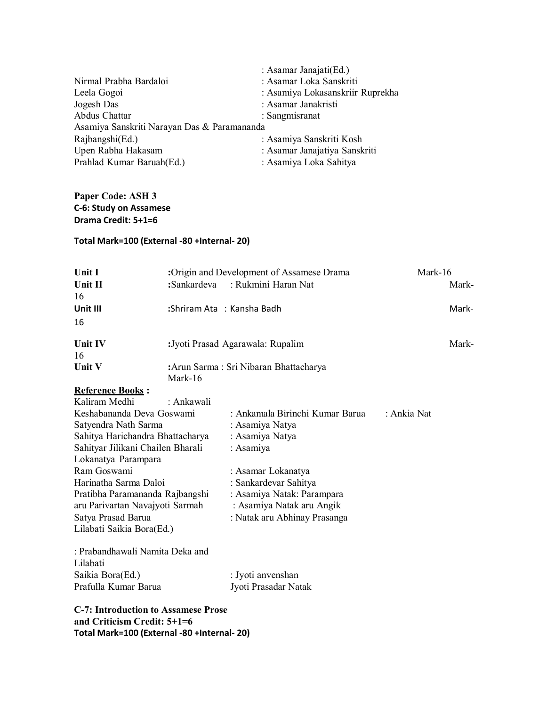| Nirmal Prabha Bardaloi                      | : Asamar Janajati(Ed.)           |
|---------------------------------------------|----------------------------------|
| Leela Gogoi                                 | : Asamar Loka Sanskriti          |
| Jogesh Das                                  | : Asamiya Lokasanskriir Ruprekha |
| Abdus Chattar                               | : Asamar Janakristi              |
| Asamiya Sanskriti Narayan Das & Paramananda | : Sangmisranat                   |
| Rajbangshi(Ed.)                             | : Asamiya Sanskriti Kosh         |
| Upen Rabha Hakasam                          | : Asamar Janajatiya Sanskriti    |
| Prahlad Kumar Baruah(Ed.)                   | : Asamiya Loka Sahitya           |

# **Paper Code: ASH 3 C-6: Study on Assamese Drama Credit: 5+1=6**

### **Total Mark=100 (External -80 +Internal- 20)**

| Unit I                    | :Origin and Development of Assamese Drama | Mark-16     |
|---------------------------|-------------------------------------------|-------------|
| Unit II                   | :Sankardeva : Rukmini Haran Nat           | Mark-       |
| 16                        |                                           |             |
| Unit III                  | :Shriram Ata : Kansha Badh                | Mark-       |
| 16                        |                                           |             |
| <b>Unit IV</b>            | : Jyoti Prasad Agarawala: Rupalim         | Mark-       |
| 16                        |                                           |             |
| Unit V                    | : Arun Sarma: Sri Nibaran Bhattacharya    |             |
|                           | Mark-16                                   |             |
| <b>Reference Books:</b>   |                                           |             |
| Kaliram Medhi             | : Ankawali                                |             |
| Keshabananda Deva Goswami | : Ankamala Birinchi Kumar Barua           | : Ankia Nat |
|                           |                                           |             |

| Resilabananga Deva Goswalili      | . Alikailiala Difflicili Nuffiai Dafua | . Alikia ivat |
|-----------------------------------|----------------------------------------|---------------|
| Satyendra Nath Sarma              | : Asamiya Natya                        |               |
| Sahitya Harichandra Bhattacharya  | : Asamiya Natya                        |               |
| Sahityar Jilikani Chailen Bharali | : Asamiya                              |               |
| Lokanatya Parampara               |                                        |               |
| Ram Goswami                       | : Asamar Lokanatya                     |               |
| Harinatha Sarma Daloi             | : Sankardevar Sahitya                  |               |
| Pratibha Paramananda Rajbangshi   | : Asamiya Natak: Parampara             |               |
| aru Parivartan Navajyoti Sarmah   | : Asamiya Natak aru Angik              |               |
| Satya Prasad Barua                | : Natak aru Abhinay Prasanga           |               |
| Lilabati Saikia Bora(Ed.)         |                                        |               |
|                                   |                                        |               |
| : Prabandhawali Namita Deka and   |                                        |               |

| Lilabati             |                      |
|----------------------|----------------------|
| Saikia Bora(Ed.)     | : Jyoti anvenshan    |
| Prafulla Kumar Barua | Jyoti Prasadar Natak |

**C-7: Introduction to Assamese Prose and Criticism Credit: 5+1=6 Total Mark=100 (External -80 +Internal- 20)**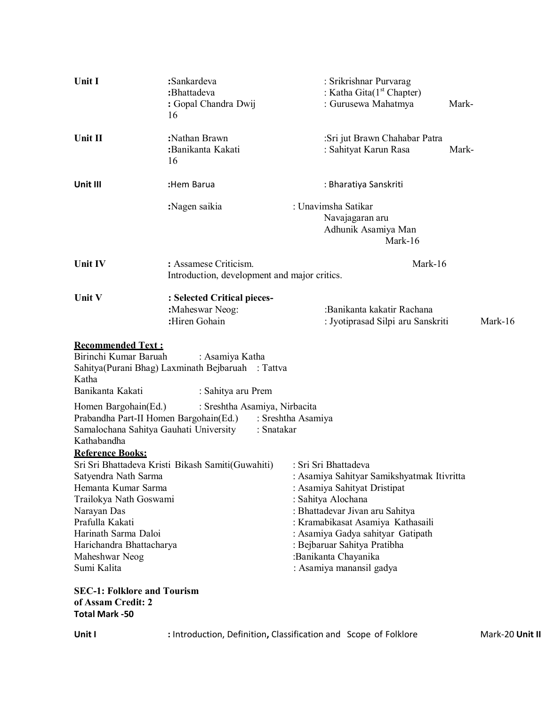| Unit I                                                                                                                                                                                       | :Sankardeva<br>:Bhattadeva<br>: Gopal Chandra Dwij<br>16                                   | : Srikrishnar Purvarag<br>: Katha Gita $(1st Chapter)$<br>: Gurusewa Mahatmya                                                                                                                                                                                                                                             | Mark-   |
|----------------------------------------------------------------------------------------------------------------------------------------------------------------------------------------------|--------------------------------------------------------------------------------------------|---------------------------------------------------------------------------------------------------------------------------------------------------------------------------------------------------------------------------------------------------------------------------------------------------------------------------|---------|
| Unit II                                                                                                                                                                                      | :Nathan Brawn<br>:Banikanta Kakati<br>16                                                   | :Sri jut Brawn Chahabar Patra<br>: Sahityat Karun Rasa                                                                                                                                                                                                                                                                    | Mark-   |
| Unit III                                                                                                                                                                                     | :Hem Barua                                                                                 | : Bharatiya Sanskriti                                                                                                                                                                                                                                                                                                     |         |
|                                                                                                                                                                                              | :Nagen saikia                                                                              | : Unavimsha Satikar<br>Navajagaran aru<br>Adhunik Asamiya Man<br>Mark-16                                                                                                                                                                                                                                                  |         |
| Unit IV                                                                                                                                                                                      | : Assamese Criticism.<br>Introduction, development and major critics.                      | Mark-16                                                                                                                                                                                                                                                                                                                   |         |
| Unit V                                                                                                                                                                                       | : Selected Critical pieces-<br>:Maheswar Neog:<br>:Hiren Gohain                            | :Banikanta kakatir Rachana<br>: Jyotiprasad Silpi aru Sanskriti                                                                                                                                                                                                                                                           | Mark-16 |
| <b>Recommended Text:</b><br>Birinchi Kumar Baruah<br>Katha<br>Banikanta Kakati                                                                                                               | : Asamiya Katha<br>Sahitya(Purani Bhag) Laxminath Bejbaruah : Tattva<br>: Sahitya aru Prem |                                                                                                                                                                                                                                                                                                                           |         |
| Homen Bargohain(Ed.)<br>Prabandha Part-II Homen Bargohain(Ed.)<br>Samalochana Sahitya Gauhati University<br>Kathabandha<br><b>Reference Books:</b>                                           | : Sreshtha Asamiya, Nirbacita<br>: Snatakar                                                | : Sreshtha Asamiya                                                                                                                                                                                                                                                                                                        |         |
| Satyendra Nath Sarma<br>Hemanta Kumar Sarma<br>Trailokya Nath Goswami<br>Narayan Das<br>Prafulla Kakati<br>Harinath Sarma Daloi<br>Harichandra Bhattacharya<br>Maheshwar Neog<br>Sumi Kalita | Sri Sri Bhattadeva Kristi Bikash Samiti(Guwahiti)                                          | : Sri Sri Bhattadeva<br>: Asamiya Sahityar Samikshyatmak Itivritta<br>: Asamiya Sahityat Dristipat<br>: Sahitya Alochana<br>: Bhattadevar Jivan aru Sahitya<br>: Kramabikasat Asamiya Kathasaili<br>: Asamiya Gadya sahityar Gatipath<br>: Bejbaruar Sahitya Pratibha<br>:Banikanta Chayanika<br>: Asamiya manansil gadya |         |
| <b>SEC-1: Folklore and Tourism</b><br>of Assam Credit: 2<br><b>Total Mark -50</b>                                                                                                            |                                                                                            |                                                                                                                                                                                                                                                                                                                           |         |

**Unit I Introduction, Definition, Classification and Scope of Folklore** Mark-20 Unit II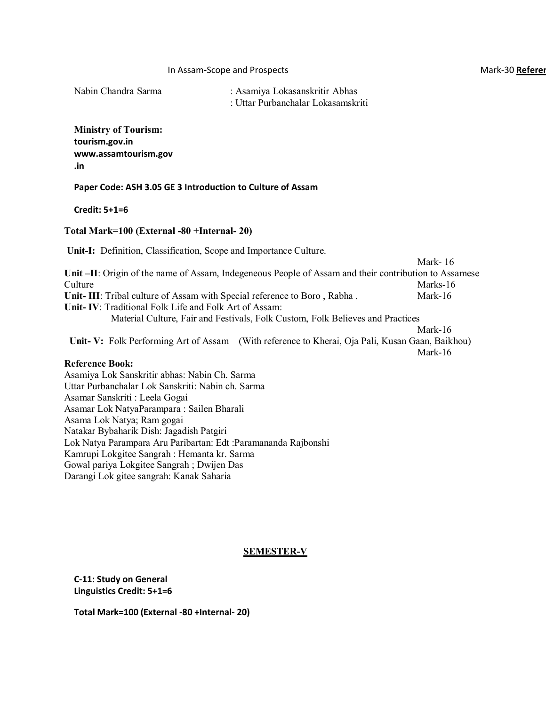#### **In Assam-Scope and Prospects And Accord Books and Accord Books and Accord Books and Accord Books and Accord Books and Accord Books and Accord Books and Accord Books and Accord Books and Accord Books and Accord Books and A**

Nabin Chandra Sarma : Asamiya Lokasanskritir Abhas : Uttar Purbanchalar Lokasamskriti

**Ministry of Tourism: tourism.gov.i[n](http://www.assamtourism.gov.in/) [www.assamtourism.gov](http://www.assamtourism.gov.in/) [.in](http://www.assamtourism.gov.in/)**

**Paper Code: ASH 3.05 GE 3 Introduction to Culture of Assam**

**Credit: 5+1=6**

### **Total Mark=100 (External -80 +Internal- 20)**

**Unit-I:** Definition, Classification, Scope and Importance Culture. Mark- 16 **Unit –II**: Origin of the name of Assam, Indegeneous People of Assam and their contribution to Assamese Culture Marks-16 **Unit-III**: Tribal culture of Assam with Special reference to Boro, Rabha . Mark-16 **Unit- IV**: Traditional Folk Life and Folk Art of Assam: Material Culture, Fair and Festivals, Folk Custom, Folk Believes and Practices Mark-16 **Unit- V:** Folk Performing Art of Assam (With reference to Kherai, Oja Pali, Kusan Gaan, Baikhou) Mark-16 **Reference Book:**  Asamiya Lok Sanskritir abhas: Nabin Ch. Sarma Uttar Purbanchalar Lok Sanskriti: Nabin ch. Sarma Asamar Sanskriti : Leela Gogai Asamar Lok NatyaParampara : Sailen Bharali Asama Lok Natya; Ram gogai Natakar Bybaharik Dish: Jagadish Patgiri Lok Natya Parampara Aru Paribartan: Edt :Paramananda Rajbonshi Kamrupi Lokgitee Sangrah : Hemanta kr. Sarma Gowal pariya Lokgitee Sangrah ; Dwijen Das Darangi Lok gitee sangrah: Kanak Saharia

### **SEMESTER-V**

**C-11: Study on General Linguistics Credit: 5+1=6**

**Total Mark=100 (External -80 +Internal- 20)**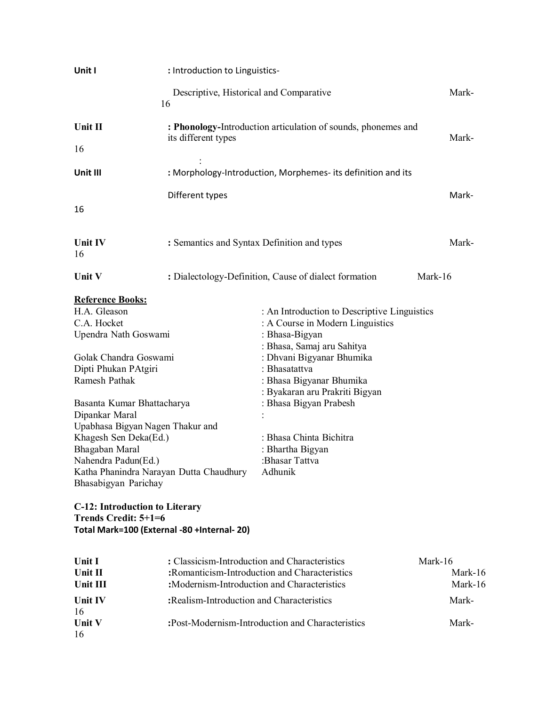| Unit I                                                                                                                                                                                                                                                                                                                                                                                                                                     | : Introduction to Linguistics-                                                               |                                                                                                                                                                                                                                                                                                                                                    |                               |
|--------------------------------------------------------------------------------------------------------------------------------------------------------------------------------------------------------------------------------------------------------------------------------------------------------------------------------------------------------------------------------------------------------------------------------------------|----------------------------------------------------------------------------------------------|----------------------------------------------------------------------------------------------------------------------------------------------------------------------------------------------------------------------------------------------------------------------------------------------------------------------------------------------------|-------------------------------|
|                                                                                                                                                                                                                                                                                                                                                                                                                                            | Descriptive, Historical and Comparative<br>16                                                |                                                                                                                                                                                                                                                                                                                                                    | Mark-                         |
| Unit II                                                                                                                                                                                                                                                                                                                                                                                                                                    |                                                                                              | : Phonology-Introduction articulation of sounds, phonemes and                                                                                                                                                                                                                                                                                      | Mark-                         |
| 16                                                                                                                                                                                                                                                                                                                                                                                                                                         | its different types                                                                          |                                                                                                                                                                                                                                                                                                                                                    |                               |
| Unit III                                                                                                                                                                                                                                                                                                                                                                                                                                   |                                                                                              | : Morphology-Introduction, Morphemes- its definition and its                                                                                                                                                                                                                                                                                       |                               |
| 16                                                                                                                                                                                                                                                                                                                                                                                                                                         | Different types                                                                              |                                                                                                                                                                                                                                                                                                                                                    | Mark-                         |
| Unit IV<br>16                                                                                                                                                                                                                                                                                                                                                                                                                              | : Semantics and Syntax Definition and types                                                  |                                                                                                                                                                                                                                                                                                                                                    | Mark-                         |
| Unit V                                                                                                                                                                                                                                                                                                                                                                                                                                     |                                                                                              | : Dialectology-Definition, Cause of dialect formation                                                                                                                                                                                                                                                                                              | Mark-16                       |
| <b>Reference Books:</b><br>H.A. Gleason<br>C.A. Hocket<br>Upendra Nath Goswami<br>Golak Chandra Goswami<br>Dipti Phukan PAtgiri<br>Ramesh Pathak<br>Basanta Kumar Bhattacharya<br>Dipankar Maral<br>Upabhasa Bigyan Nagen Thakur and<br>Khagesh Sen Deka(Ed.)<br>Bhagaban Maral<br>Nahendra Padun(Ed.)<br>Katha Phanindra Narayan Dutta Chaudhury<br>Bhasabigyan Parichay<br><b>C-12: Introduction to Literary</b><br>Trends Credit: 5+1=6 |                                                                                              | : An Introduction to Descriptive Linguistics<br>: A Course in Modern Linguistics<br>: Bhasa-Bigyan<br>: Bhasa, Samaj aru Sahitya<br>: Dhvani Bigyanar Bhumika<br>: Bhasatattva<br>: Bhasa Bigyanar Bhumika<br>: Byakaran aru Prakriti Bigyan<br>: Bhasa Bigyan Prabesh<br>: Bhasa Chinta Bichitra<br>: Bhartha Bigyan<br>:Bhasar Tattva<br>Adhunik |                               |
| Total Mark=100 (External -80 +Internal- 20)                                                                                                                                                                                                                                                                                                                                                                                                |                                                                                              |                                                                                                                                                                                                                                                                                                                                                    |                               |
| Unit I<br>Unit II<br>Unit III                                                                                                                                                                                                                                                                                                                                                                                                              | : Classicism-Introduction and Characteristics<br>:Modernism-Introduction and Characteristics | :Romanticism-Introduction and Characteristics                                                                                                                                                                                                                                                                                                      | Mark-16<br>Mark-16<br>Mark-16 |
| Unit IV<br>16<br>Unit V<br>16                                                                                                                                                                                                                                                                                                                                                                                                              | :Realism-Introduction and Characteristics                                                    | :Post-Modernism-Introduction and Characteristics                                                                                                                                                                                                                                                                                                   | Mark-<br>Mark-                |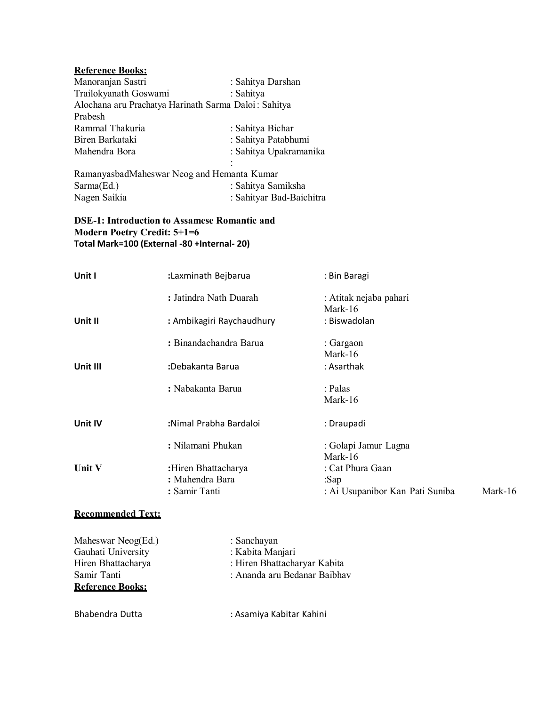# **Reference Books:**

| Manoranjan Sastri                                    | : Sahitya Darshan      |
|------------------------------------------------------|------------------------|
| Trailokyanath Goswami                                | : Sahitya              |
| Alochana aru Prachatya Harinath Sarma Daloi: Sahitya |                        |
| Prabesh                                              |                        |
| Rammal Thakuria                                      | : Sahitya Bichar       |
| Biren Barkataki                                      | : Sahitya Patabhumi    |
| Mahendra Bora                                        | : Sahitya Upakramanika |
|                                                      | $\ddot{\cdot}$         |

| RamanyasbadMaheswar Neog and Hemanta Kumar |                          |  |
|--------------------------------------------|--------------------------|--|
| Sarma(Ed.)                                 | : Sahitya Samiksha       |  |
| Nagen Saikia                               | : Sahityar Bad-Baichitra |  |

### **DSE-1: Introduction to Assamese Romantic and Modern Poetry Credit: 5+1=6 Total Mark=100 (External -80 +Internal- 20)**

| Unit I   | :Laxminath Bejbarua       | : Bin Baragi                      |         |
|----------|---------------------------|-----------------------------------|---------|
|          | : Jatindra Nath Duarah    | : Atitak nejaba pahari<br>Mark-16 |         |
| Unit II  | : Ambikagiri Raychaudhury | : Biswadolan                      |         |
|          | : Binandachandra Barua    | : Gargaon                         |         |
|          |                           | Mark-16                           |         |
| Unit III | :Debakanta Barua          | : Asarthak                        |         |
|          | : Nabakanta Barua         | : Palas                           |         |
|          |                           | Mark-16                           |         |
| Unit IV  | :Nimal Prabha Bardaloi    | : Draupadi                        |         |
|          | : Nilamani Phukan         | : Golapi Jamur Lagna              |         |
|          |                           | Mark-16                           |         |
| Unit V   | :Hiren Bhattacharya       | : Cat Phura Gaan                  |         |
|          | : Mahendra Bara           | :Sap                              |         |
|          | : Samir Tanti             | : Ai Usupanibor Kan Pati Suniba   | Mark-16 |
|          |                           |                                   |         |

### **Recommended Text:**

| Maheswar Neog(Ed.)      | : Sanchayan                  |
|-------------------------|------------------------------|
| Gauhati University      | : Kabita Manjari             |
| Hiren Bhattacharya      | : Hiren Bhattacharyar Kabita |
| Samir Tanti             | : Ananda aru Bedanar Baibhav |
| <b>Reference Books:</b> |                              |
|                         |                              |

| Bhabendra Dutta | : Asamiya Kabitar Kahini |
|-----------------|--------------------------|
|-----------------|--------------------------|